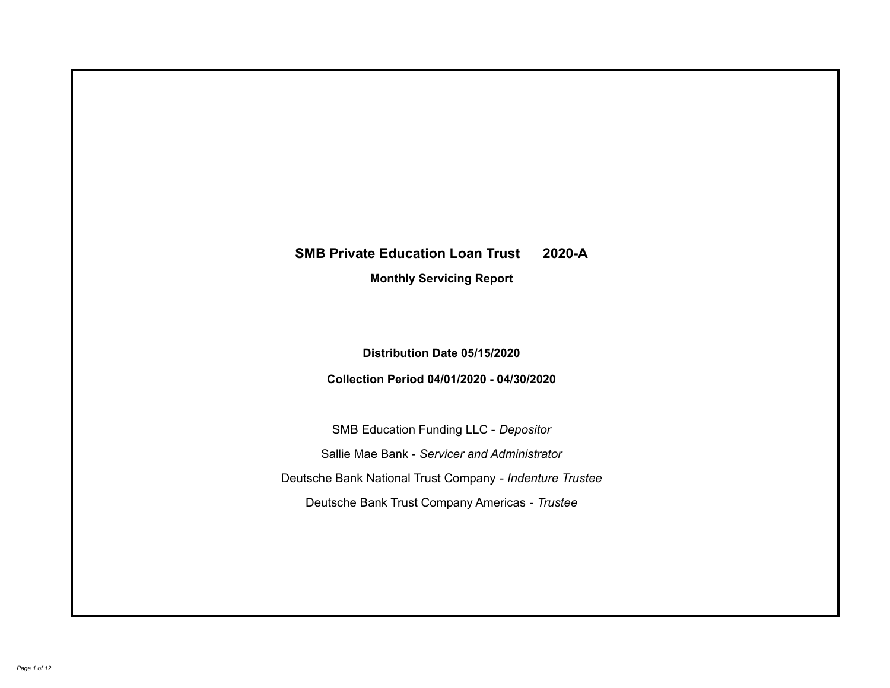# **SMB Private Education Loan Trust 2020-A Monthly Servicing Report**

## **Distribution Date 05/15/2020**

## **Collection Period 04/01/2020 - 04/30/2020**

SMB Education Funding LLC - *Depositor* Sallie Mae Bank - *Servicer and Administrator* Deutsche Bank National Trust Company - *Indenture Trustee* Deutsche Bank Trust Company Americas - *Trustee*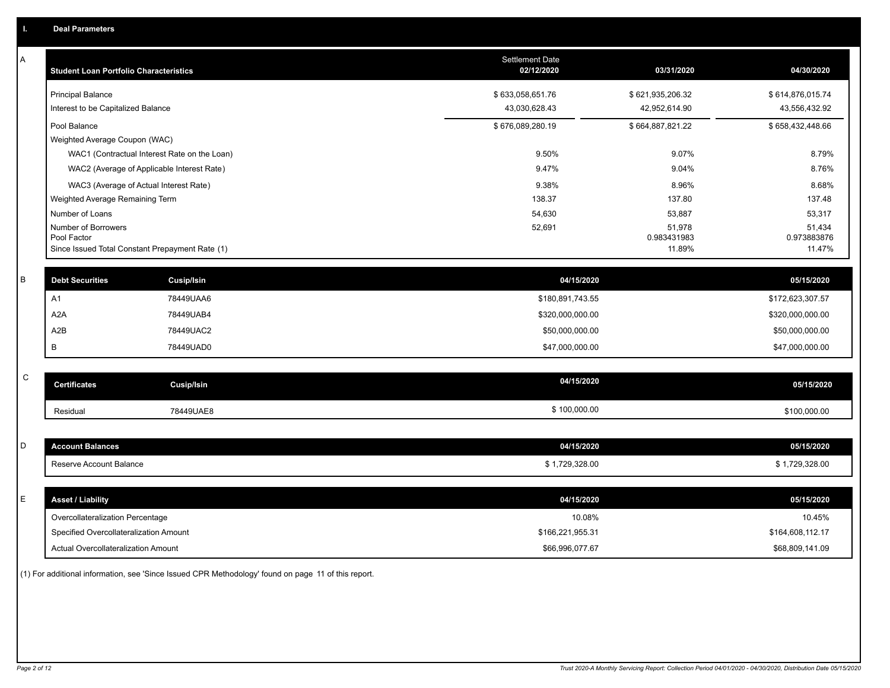| Α           | <b>Student Loan Portfolio Characteristics</b>   |                                              | Settlement Date<br>02/12/2020 | 03/31/2020            | 04/30/2020            |
|-------------|-------------------------------------------------|----------------------------------------------|-------------------------------|-----------------------|-----------------------|
|             | <b>Principal Balance</b>                        |                                              | \$633,058,651.76              | \$621,935,206.32      | \$614,876,015.74      |
|             | Interest to be Capitalized Balance              |                                              | 43,030,628.43                 | 42,952,614.90         | 43,556,432.92         |
|             | Pool Balance                                    |                                              | \$676,089,280.19              | \$664,887,821.22      | \$658,432,448.66      |
|             | Weighted Average Coupon (WAC)                   |                                              |                               |                       |                       |
|             |                                                 | WAC1 (Contractual Interest Rate on the Loan) | 9.50%                         | 9.07%                 | 8.79%                 |
|             |                                                 | WAC2 (Average of Applicable Interest Rate)   | 9.47%                         | 9.04%                 | 8.76%                 |
|             | WAC3 (Average of Actual Interest Rate)          |                                              | 9.38%                         | 8.96%                 | 8.68%                 |
|             | Weighted Average Remaining Term                 |                                              | 138.37                        | 137.80                | 137.48                |
|             | Number of Loans                                 |                                              | 54,630                        | 53,887                | 53,317                |
|             | Number of Borrowers<br>Pool Factor              |                                              | 52,691                        | 51,978<br>0.983431983 | 51,434<br>0.973883876 |
|             | Since Issued Total Constant Prepayment Rate (1) |                                              |                               | 11.89%                | 11.47%                |
|             |                                                 |                                              |                               |                       |                       |
| В           | <b>Debt Securities</b>                          | Cusip/Isin                                   | 04/15/2020                    |                       | 05/15/2020            |
|             | A <sub>1</sub>                                  | 78449UAA6                                    | \$180,891,743.55              |                       | \$172,623,307.57      |
|             | A <sub>2</sub> A                                | 78449UAB4                                    | \$320,000,000.00              |                       | \$320,000,000.00      |
|             | A2B                                             | 78449UAC2                                    | \$50,000,000.00               |                       | \$50,000,000.00       |
|             | В                                               | 78449UAD0                                    | \$47,000,000.00               |                       | \$47,000,000.00       |
|             |                                                 |                                              |                               |                       |                       |
| $\mathbf C$ | <b>Certificates</b>                             | <b>Cusip/Isin</b>                            | 04/15/2020                    |                       | 05/15/2020            |
|             | Residual                                        | 78449UAE8                                    | \$100,000.00                  |                       | \$100,000.00          |
|             |                                                 |                                              |                               |                       |                       |
| D           | <b>Account Balances</b>                         |                                              | 04/15/2020                    |                       | 05/15/2020            |
|             | Reserve Account Balance                         |                                              | \$1,729,328.00                |                       | \$1,729,328.00        |
|             |                                                 |                                              |                               |                       |                       |
| E           | <b>Asset / Liability</b>                        |                                              | 04/15/2020                    |                       | 05/15/2020            |
|             | Overcollateralization Percentage                |                                              | 10.08%                        |                       | 10.45%                |
|             | Specified Overcollateralization Amount          |                                              | \$166,221,955.31              |                       | \$164,608,112.17      |
|             | <b>Actual Overcollateralization Amount</b>      |                                              | \$66.996.077.67               |                       | \$68,809,141.09       |

(1) For additional information, see 'Since Issued CPR Methodology' found on page 11 of this report.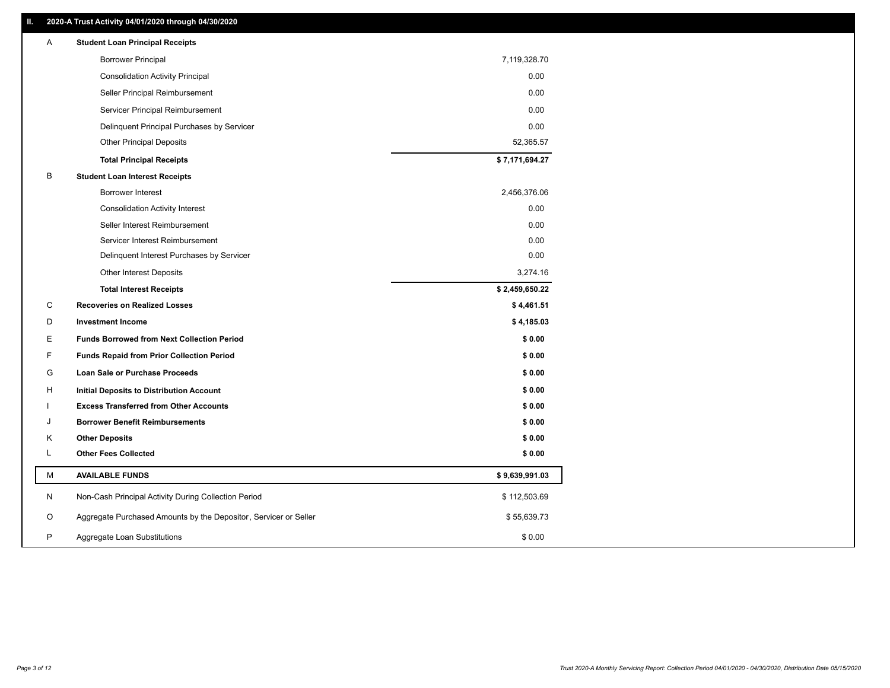## **II. 2020-A Trust Activity 04/01/2020 through 04/30/2020**

| <b>Borrower Principal</b><br>7,119,328.70<br>0.00<br><b>Consolidation Activity Principal</b><br>0.00<br>Seller Principal Reimbursement<br>0.00<br>Servicer Principal Reimbursement<br>0.00<br>Delinquent Principal Purchases by Servicer<br><b>Other Principal Deposits</b><br>52,365.57 |  |
|------------------------------------------------------------------------------------------------------------------------------------------------------------------------------------------------------------------------------------------------------------------------------------------|--|
|                                                                                                                                                                                                                                                                                          |  |
|                                                                                                                                                                                                                                                                                          |  |
|                                                                                                                                                                                                                                                                                          |  |
|                                                                                                                                                                                                                                                                                          |  |
|                                                                                                                                                                                                                                                                                          |  |
|                                                                                                                                                                                                                                                                                          |  |
| \$7,171,694.27<br><b>Total Principal Receipts</b>                                                                                                                                                                                                                                        |  |
| B<br><b>Student Loan Interest Receipts</b>                                                                                                                                                                                                                                               |  |
| Borrower Interest<br>2,456,376.06                                                                                                                                                                                                                                                        |  |
| 0.00<br><b>Consolidation Activity Interest</b>                                                                                                                                                                                                                                           |  |
| 0.00<br>Seller Interest Reimbursement                                                                                                                                                                                                                                                    |  |
| 0.00<br>Servicer Interest Reimbursement                                                                                                                                                                                                                                                  |  |
| 0.00<br>Delinquent Interest Purchases by Servicer                                                                                                                                                                                                                                        |  |
| Other Interest Deposits<br>3,274.16                                                                                                                                                                                                                                                      |  |
| \$2,459,650.22<br><b>Total Interest Receipts</b>                                                                                                                                                                                                                                         |  |
| C<br><b>Recoveries on Realized Losses</b><br>\$4,461.51                                                                                                                                                                                                                                  |  |
| \$4,185.03<br>D<br><b>Investment Income</b>                                                                                                                                                                                                                                              |  |
| E<br>\$0.00<br><b>Funds Borrowed from Next Collection Period</b>                                                                                                                                                                                                                         |  |
| F<br>\$0.00<br><b>Funds Repaid from Prior Collection Period</b>                                                                                                                                                                                                                          |  |
| G<br>\$0.00<br>Loan Sale or Purchase Proceeds                                                                                                                                                                                                                                            |  |
| \$0.00<br>H<br>Initial Deposits to Distribution Account                                                                                                                                                                                                                                  |  |
| \$0.00<br><b>Excess Transferred from Other Accounts</b>                                                                                                                                                                                                                                  |  |
| <b>Borrower Benefit Reimbursements</b><br>\$0.00<br>J                                                                                                                                                                                                                                    |  |
| \$0.00<br>Κ<br><b>Other Deposits</b>                                                                                                                                                                                                                                                     |  |
| L<br><b>Other Fees Collected</b><br>\$0.00                                                                                                                                                                                                                                               |  |
| M<br>\$9,639,991.03<br><b>AVAILABLE FUNDS</b>                                                                                                                                                                                                                                            |  |
| N<br>Non-Cash Principal Activity During Collection Period<br>\$112,503.69                                                                                                                                                                                                                |  |
| Aggregate Purchased Amounts by the Depositor, Servicer or Seller<br>O<br>\$55,639.73                                                                                                                                                                                                     |  |
| P<br>\$0.00<br>Aggregate Loan Substitutions                                                                                                                                                                                                                                              |  |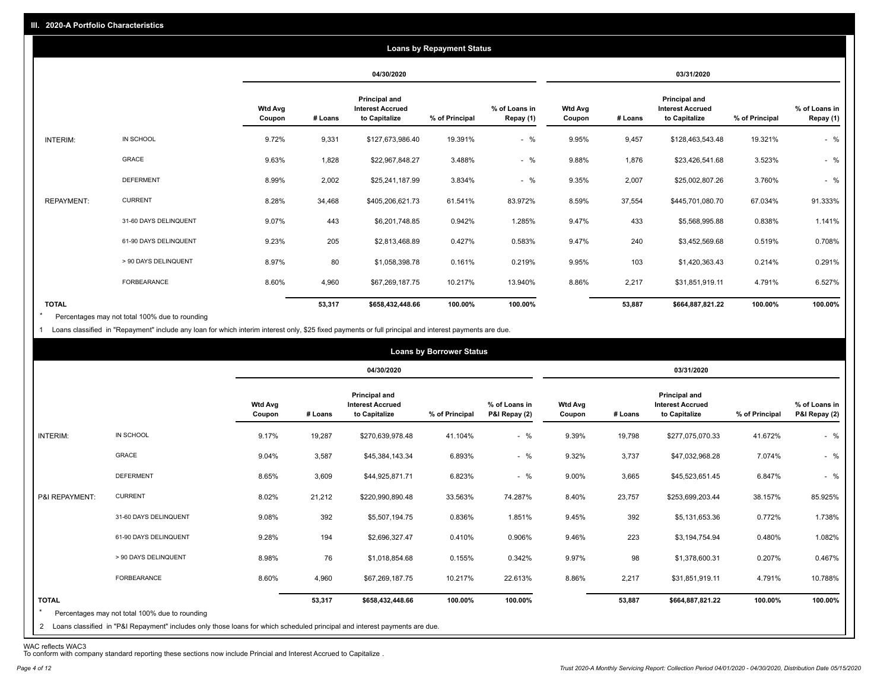|                   |                       |                          |         |                                                           | <b>Loans by Repayment Status</b> |                            |                          |         |                                                           |                |                            |
|-------------------|-----------------------|--------------------------|---------|-----------------------------------------------------------|----------------------------------|----------------------------|--------------------------|---------|-----------------------------------------------------------|----------------|----------------------------|
|                   |                       |                          |         | 04/30/2020                                                |                                  |                            |                          |         | 03/31/2020                                                |                |                            |
|                   |                       | <b>Wtd Avg</b><br>Coupon | # Loans | Principal and<br><b>Interest Accrued</b><br>to Capitalize | % of Principal                   | % of Loans in<br>Repay (1) | <b>Wtd Avg</b><br>Coupon | # Loans | Principal and<br><b>Interest Accrued</b><br>to Capitalize | % of Principal | % of Loans in<br>Repay (1) |
| INTERIM:          | IN SCHOOL             | 9.72%                    | 9,331   | \$127,673,986.40                                          | 19.391%                          | $-$ %                      | 9.95%                    | 9,457   | \$128,463,543.48                                          | 19.321%        | $-$ %                      |
|                   | GRACE                 | 9.63%                    | 1,828   | \$22,967,848.27                                           | 3.488%                           | $-$ %                      | 9.88%                    | 1,876   | \$23,426,541.68                                           | 3.523%         | $-$ %                      |
|                   | <b>DEFERMENT</b>      | 8.99%                    | 2,002   | \$25,241,187.99                                           | 3.834%                           | $-$ %                      | 9.35%                    | 2,007   | \$25,002,807.26                                           | 3.760%         | $-$ %                      |
| <b>REPAYMENT:</b> | <b>CURRENT</b>        | 8.28%                    | 34,468  | \$405,206,621.73                                          | 61.541%                          | 83.972%                    | 8.59%                    | 37,554  | \$445,701,080.70                                          | 67.034%        | 91.333%                    |
|                   | 31-60 DAYS DELINQUENT | 9.07%                    | 443     | \$6,201,748.85                                            | 0.942%                           | 1.285%                     | 9.47%                    | 433     | \$5,568,995.88                                            | 0.838%         | 1.141%                     |
|                   | 61-90 DAYS DELINQUENT | 9.23%                    | 205     | \$2,813,468.89                                            | 0.427%                           | 0.583%                     | 9.47%                    | 240     | \$3,452,569.68                                            | 0.519%         | 0.708%                     |
|                   | > 90 DAYS DELINQUENT  | 8.97%                    | 80      | \$1,058,398.78                                            | 0.161%                           | 0.219%                     | 9.95%                    | 103     | \$1,420,363.43                                            | 0.214%         | 0.291%                     |
|                   | <b>FORBEARANCE</b>    | 8.60%                    | 4,960   | \$67,269,187.75                                           | 10.217%                          | 13.940%                    | 8.86%                    | 2,217   | \$31,851,919.11                                           | 4.791%         | 6.527%                     |
| <b>TOTAL</b>      |                       |                          | 53,317  | \$658,432,448.66                                          | 100.00%                          | 100.00%                    |                          | 53,887  | \$664,887,821.22                                          | 100.00%        | 100.00%                    |

Percentages may not total 100% due to rounding  $\star$ 

1 Loans classified in "Repayment" include any loan for which interim interest only, \$25 fixed payments or full principal and interest payments are due.

|                         |                                                                                                                                                                                |                          |         |                                                           | <b>Loans by Borrower Status</b> |                                |                          |         |                                                           |                |                                |
|-------------------------|--------------------------------------------------------------------------------------------------------------------------------------------------------------------------------|--------------------------|---------|-----------------------------------------------------------|---------------------------------|--------------------------------|--------------------------|---------|-----------------------------------------------------------|----------------|--------------------------------|
|                         |                                                                                                                                                                                |                          |         | 04/30/2020                                                |                                 |                                |                          |         | 03/31/2020                                                |                |                                |
|                         |                                                                                                                                                                                | <b>Wtd Avg</b><br>Coupon | # Loans | Principal and<br><b>Interest Accrued</b><br>to Capitalize | % of Principal                  | % of Loans in<br>P&I Repay (2) | <b>Wtd Avg</b><br>Coupon | # Loans | Principal and<br><b>Interest Accrued</b><br>to Capitalize | % of Principal | % of Loans in<br>P&I Repay (2) |
| INTERIM:                | IN SCHOOL                                                                                                                                                                      | 9.17%                    | 19,287  | \$270,639,978.48                                          | 41.104%                         | $-$ %                          | 9.39%                    | 19,798  | \$277,075,070.33                                          | 41.672%        | $-$ %                          |
|                         | GRACE                                                                                                                                                                          | 9.04%                    | 3,587   | \$45,384,143.34                                           | 6.893%                          | $-$ %                          | 9.32%                    | 3,737   | \$47,032,968.28                                           | 7.074%         | $-$ %                          |
|                         | <b>DEFERMENT</b>                                                                                                                                                               | 8.65%                    | 3,609   | \$44,925,871.71                                           | 6.823%                          | $-$ %                          | 9.00%                    | 3,665   | \$45,523,651.45                                           | 6.847%         | $-$ %                          |
| P&I REPAYMENT:          | <b>CURRENT</b>                                                                                                                                                                 | 8.02%                    | 21,212  | \$220,990,890.48                                          | 33.563%                         | 74.287%                        | 8.40%                    | 23,757  | \$253,699,203.44                                          | 38.157%        | 85.925%                        |
|                         | 31-60 DAYS DELINQUENT                                                                                                                                                          | 9.08%                    | 392     | \$5,507,194.75                                            | 0.836%                          | 1.851%                         | 9.45%                    | 392     | \$5,131,653.36                                            | 0.772%         | 1.738%                         |
|                         | 61-90 DAYS DELINQUENT                                                                                                                                                          | 9.28%                    | 194     | \$2,696,327.47                                            | 0.410%                          | 0.906%                         | 9.46%                    | 223     | \$3,194,754.94                                            | 0.480%         | 1.082%                         |
|                         | > 90 DAYS DELINQUENT                                                                                                                                                           | 8.98%                    | 76      | \$1,018,854.68                                            | 0.155%                          | 0.342%                         | 9.97%                    | 98      | \$1,378,600.31                                            | 0.207%         | 0.467%                         |
|                         | FORBEARANCE                                                                                                                                                                    | 8.60%                    | 4,960   | \$67,269,187.75                                           | 10.217%                         | 22.613%                        | 8.86%                    | 2,217   | \$31,851,919.11                                           | 4.791%         | 10.788%                        |
| <b>TOTAL</b><br>$\star$ | Percentages may not total 100% due to rounding<br>2 Loans classified in "P&I Repayment" includes only those loans for which scheduled principal and interest payments are due. |                          | 53,317  | \$658,432,448.66                                          | 100.00%                         | 100.00%                        |                          | 53,887  | \$664,887,821.22                                          | 100.00%        | 100.00%                        |

WAC reflects WAC3 To conform with company standard reporting these sections now include Princial and Interest Accrued to Capitalize .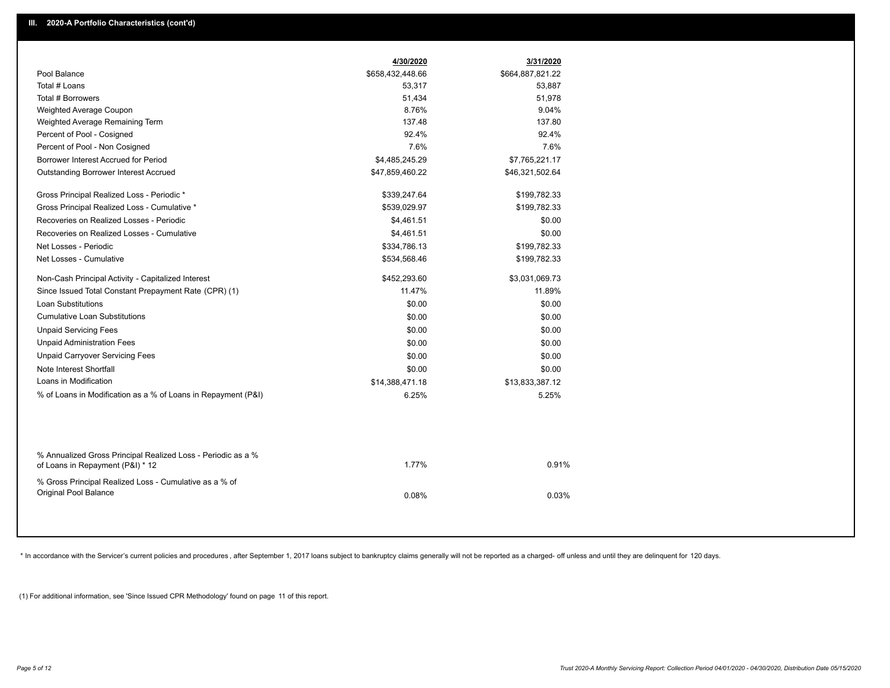|                                                                                                  | 4/30/2020        | 3/31/2020        |
|--------------------------------------------------------------------------------------------------|------------------|------------------|
| Pool Balance                                                                                     | \$658,432,448.66 | \$664,887,821.22 |
| Total # Loans                                                                                    | 53,317           | 53,887           |
| Total # Borrowers                                                                                | 51,434           | 51,978           |
| Weighted Average Coupon                                                                          | 8.76%            | 9.04%            |
| Weighted Average Remaining Term                                                                  | 137.48           | 137.80           |
| Percent of Pool - Cosigned                                                                       | 92.4%            | 92.4%            |
| Percent of Pool - Non Cosigned                                                                   | 7.6%             | 7.6%             |
| Borrower Interest Accrued for Period                                                             | \$4,485,245.29   | \$7,765,221.17   |
| <b>Outstanding Borrower Interest Accrued</b>                                                     | \$47,859,460.22  | \$46,321,502.64  |
| Gross Principal Realized Loss - Periodic *                                                       | \$339,247.64     | \$199,782.33     |
| Gross Principal Realized Loss - Cumulative *                                                     | \$539,029.97     | \$199,782.33     |
| Recoveries on Realized Losses - Periodic                                                         | \$4,461.51       | \$0.00           |
| Recoveries on Realized Losses - Cumulative                                                       | \$4,461.51       | \$0.00           |
| Net Losses - Periodic                                                                            | \$334,786.13     | \$199,782.33     |
| Net Losses - Cumulative                                                                          | \$534,568.46     | \$199,782.33     |
| Non-Cash Principal Activity - Capitalized Interest                                               | \$452,293.60     | \$3,031,069.73   |
| Since Issued Total Constant Prepayment Rate (CPR) (1)                                            | 11.47%           | 11.89%           |
| <b>Loan Substitutions</b>                                                                        | \$0.00           | \$0.00           |
| <b>Cumulative Loan Substitutions</b>                                                             | \$0.00           | \$0.00           |
| <b>Unpaid Servicing Fees</b>                                                                     | \$0.00           | \$0.00           |
| <b>Unpaid Administration Fees</b>                                                                | \$0.00           | \$0.00           |
| <b>Unpaid Carryover Servicing Fees</b>                                                           | \$0.00           | \$0.00           |
| Note Interest Shortfall                                                                          | \$0.00           | \$0.00           |
| Loans in Modification                                                                            | \$14,388,471.18  | \$13,833,387.12  |
| % of Loans in Modification as a % of Loans in Repayment (P&I)                                    | 6.25%            | 5.25%            |
|                                                                                                  |                  |                  |
| % Annualized Gross Principal Realized Loss - Periodic as a %<br>of Loans in Repayment (P&I) * 12 | 1.77%            | 0.91%            |
| % Gross Principal Realized Loss - Cumulative as a % of                                           |                  |                  |
| Original Pool Balance                                                                            | 0.08%            | 0.03%            |
|                                                                                                  |                  |                  |

\* In accordance with the Servicer's current policies and procedures, after September 1, 2017 loans subject to bankruptcy claims generally will not be reported as a charged- off unless and until they are delinquent for 120

(1) For additional information, see 'Since Issued CPR Methodology' found on page 11 of this report.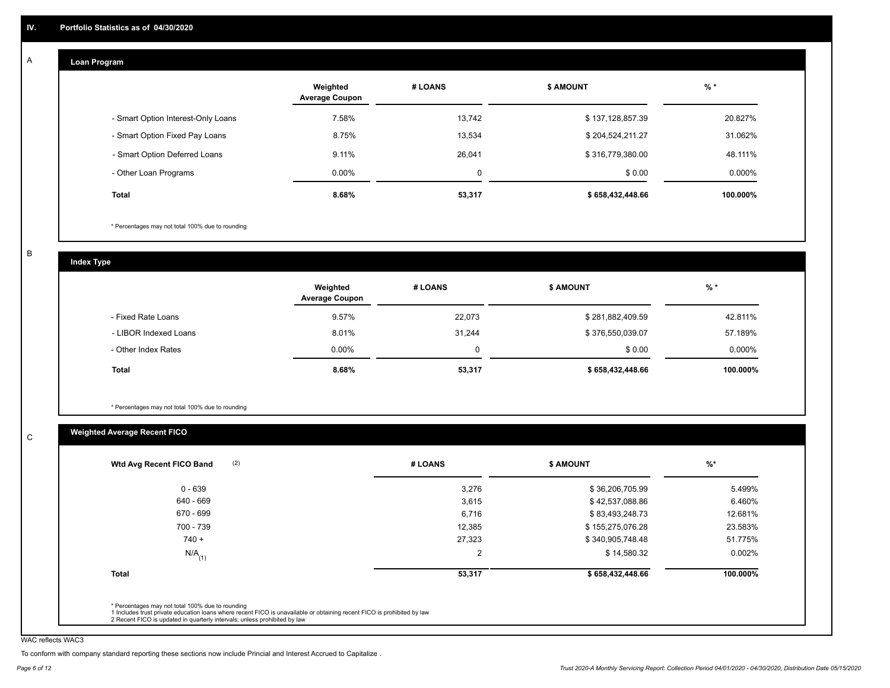#### **Loan Program**  A

|                                    | Weighted<br><b>Average Coupon</b> | # LOANS | <b>\$ AMOUNT</b> | $%$ *    |
|------------------------------------|-----------------------------------|---------|------------------|----------|
| - Smart Option Interest-Only Loans | 7.58%                             | 13.742  | \$137,128,857.39 | 20.827%  |
| - Smart Option Fixed Pay Loans     | 8.75%                             | 13,534  | \$204,524,211.27 | 31.062%  |
| - Smart Option Deferred Loans      | 9.11%                             | 26,041  | \$316,779,380.00 | 48.111%  |
| - Other Loan Programs              | $0.00\%$                          | 0       | \$0.00           | 0.000%   |
| <b>Total</b>                       | 8.68%                             | 53,317  | \$658,432,448.66 | 100.000% |

\* Percentages may not total 100% due to rounding

B

C

**Index Type**

|                       | Weighted<br><b>Average Coupon</b> | # LOANS | <b>\$ AMOUNT</b> | % *      |
|-----------------------|-----------------------------------|---------|------------------|----------|
| - Fixed Rate Loans    | 9.57%                             | 22,073  | \$281,882,409.59 | 42.811%  |
| - LIBOR Indexed Loans | 8.01%                             | 31,244  | \$376,550,039.07 | 57.189%  |
| - Other Index Rates   | $0.00\%$                          | 0       | \$0.00           | 0.000%   |
| <b>Total</b>          | 8.68%                             | 53,317  | \$658,432,448.66 | 100.000% |

\* Percentages may not total 100% due to rounding

## **Weighted Average Recent FICO**

| $0 - 639$<br>640 - 669 | 3,276<br>3,615 | \$36,206,705.99  | 5.499%   |
|------------------------|----------------|------------------|----------|
|                        |                |                  |          |
|                        |                | \$42,537,088.86  | 6.460%   |
| 670 - 699              | 6,716          | \$83,493,248.73  | 12.681%  |
| 700 - 739              | 12,385         | \$155,275,076.28 | 23.583%  |
| $740 +$                | 27,323         | \$340,905,748.48 | 51.775%  |
| $N/A$ <sub>(1)</sub>   | $\overline{2}$ | \$14,580.32      | 0.002%   |
| <b>Total</b>           | 53,317         | \$658,432,448.66 | 100.000% |

WAC reflects WAC3

To conform with company standard reporting these sections now include Princial and Interest Accrued to Capitalize .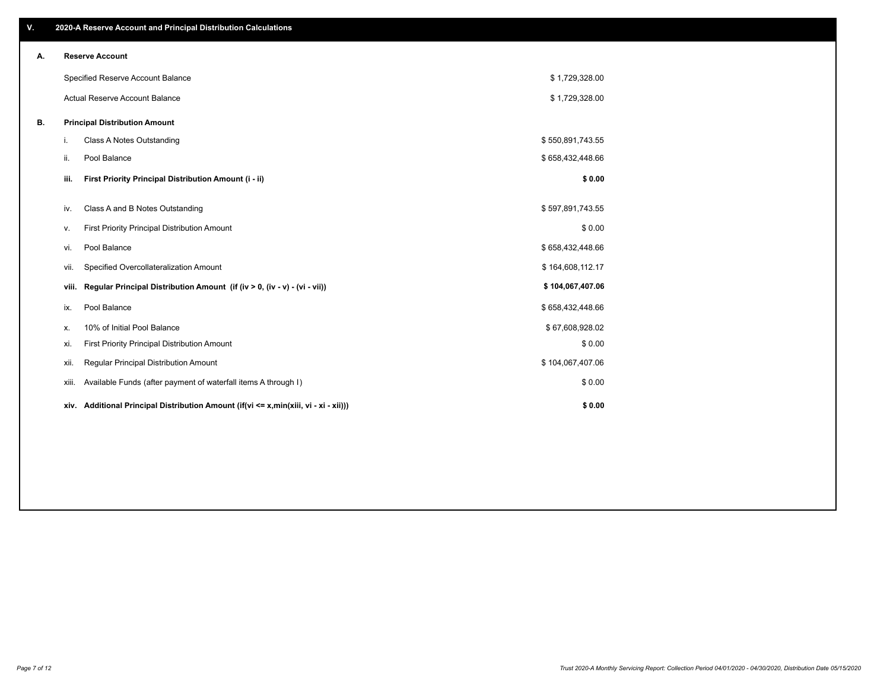| V. |       | 2020-A Reserve Account and Principal Distribution Calculations                       |                  |  |
|----|-------|--------------------------------------------------------------------------------------|------------------|--|
| А. |       | <b>Reserve Account</b>                                                               |                  |  |
|    |       | Specified Reserve Account Balance                                                    | \$1,729,328.00   |  |
|    |       | Actual Reserve Account Balance                                                       | \$1,729,328.00   |  |
| В. |       | <b>Principal Distribution Amount</b>                                                 |                  |  |
|    | i.    | Class A Notes Outstanding                                                            | \$550,891,743.55 |  |
|    | ii.   | Pool Balance                                                                         | \$658,432,448.66 |  |
|    | iii.  | First Priority Principal Distribution Amount (i - ii)                                | \$0.00           |  |
|    | iv.   | Class A and B Notes Outstanding                                                      | \$597,891,743.55 |  |
|    | v.    | First Priority Principal Distribution Amount                                         | \$0.00           |  |
|    | vi.   | Pool Balance                                                                         | \$658,432,448.66 |  |
|    | Vii.  | Specified Overcollateralization Amount                                               | \$164,608,112.17 |  |
|    | viii. | Regular Principal Distribution Amount (if (iv > 0, (iv - v) - (vi - vii))            | \$104,067,407.06 |  |
|    | ix.   | Pool Balance                                                                         | \$658,432,448.66 |  |
|    | х.    | 10% of Initial Pool Balance                                                          | \$67,608,928.02  |  |
|    | xi.   | First Priority Principal Distribution Amount                                         | \$0.00           |  |
|    | xii.  | Regular Principal Distribution Amount                                                | \$104,067,407.06 |  |
|    | xiii. | Available Funds (after payment of waterfall items A through I)                       | \$0.00           |  |
|    |       | xiv. Additional Principal Distribution Amount (if(vi <= x,min(xiii, vi - xi - xii))) | \$0.00           |  |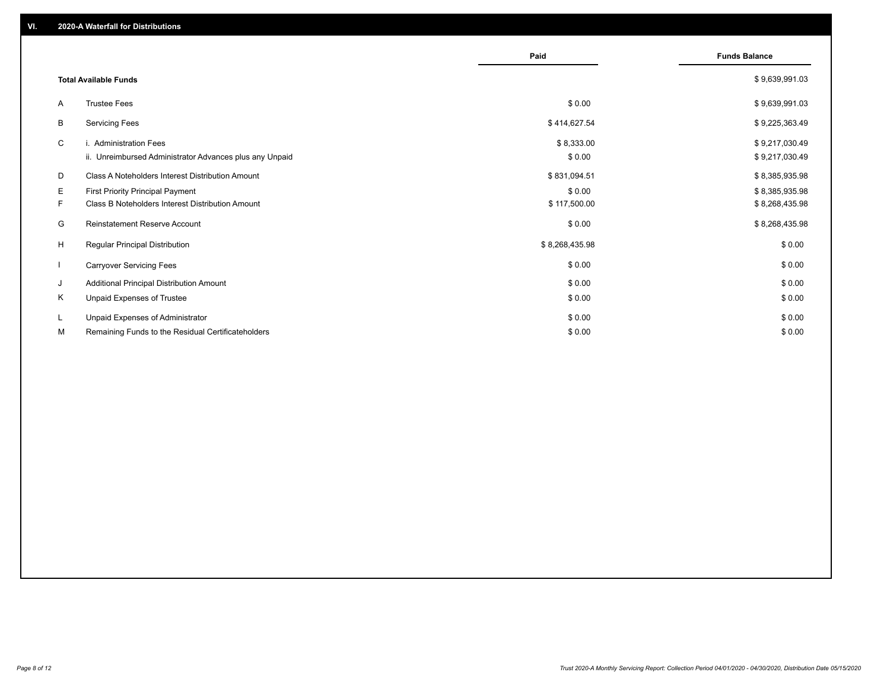|               |                                                                                                                                                 | Paid                                   | <b>Funds Balance</b>                               |
|---------------|-------------------------------------------------------------------------------------------------------------------------------------------------|----------------------------------------|----------------------------------------------------|
|               | <b>Total Available Funds</b>                                                                                                                    |                                        | \$9,639,991.03                                     |
| A             | <b>Trustee Fees</b>                                                                                                                             | \$0.00                                 | \$9,639,991.03                                     |
| В             | <b>Servicing Fees</b>                                                                                                                           | \$414,627.54                           | \$9,225,363.49                                     |
| C             | i. Administration Fees<br>ii. Unreimbursed Administrator Advances plus any Unpaid                                                               | \$8,333.00<br>\$0.00                   | \$9,217,030.49<br>\$9,217,030.49                   |
| D<br>E.<br>F. | Class A Noteholders Interest Distribution Amount<br><b>First Priority Principal Payment</b><br>Class B Noteholders Interest Distribution Amount | \$831,094.51<br>\$0.00<br>\$117,500.00 | \$8,385,935.98<br>\$8,385,935.98<br>\$8,268,435.98 |
| G             | Reinstatement Reserve Account                                                                                                                   | \$0.00                                 | \$8,268,435.98                                     |
| H             | <b>Regular Principal Distribution</b>                                                                                                           | \$8,268,435.98                         | \$0.00                                             |
| $\mathbf{I}$  | <b>Carryover Servicing Fees</b>                                                                                                                 | \$0.00                                 | \$0.00                                             |
| J             | Additional Principal Distribution Amount                                                                                                        | \$0.00                                 | \$0.00                                             |
| Κ             | Unpaid Expenses of Trustee                                                                                                                      | \$0.00                                 | \$0.00                                             |
| L<br>М        | Unpaid Expenses of Administrator<br>Remaining Funds to the Residual Certificateholders                                                          | \$0.00<br>\$0.00                       | \$0.00<br>\$0.00                                   |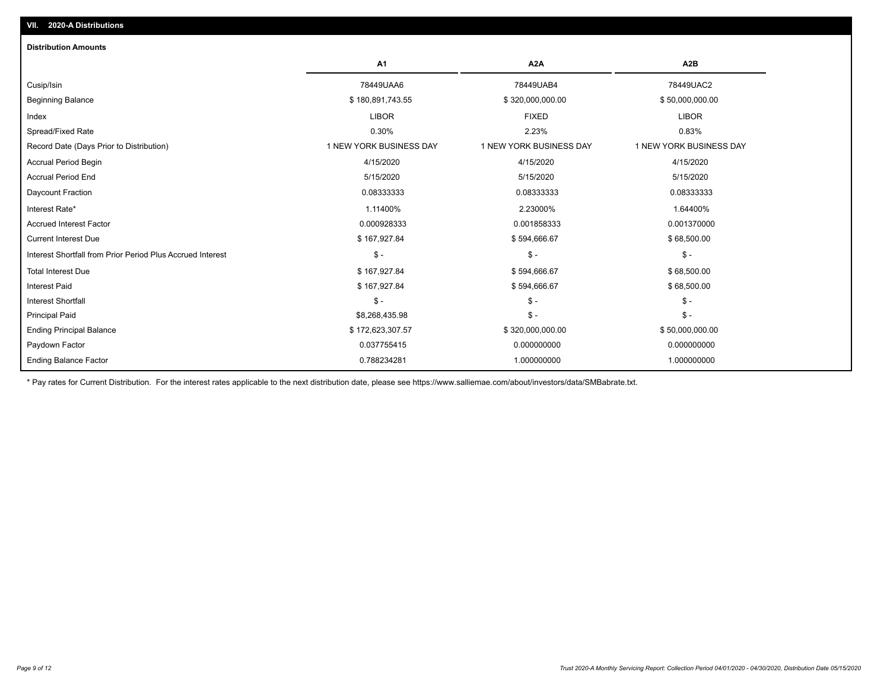| <b>Distribution Amounts</b>                                |                         |                         |                         |
|------------------------------------------------------------|-------------------------|-------------------------|-------------------------|
|                                                            | A <sub>1</sub>          | A <sub>2</sub> A        | A <sub>2</sub> B        |
| Cusip/Isin                                                 | 78449UAA6               | 78449UAB4               | 78449UAC2               |
| <b>Beginning Balance</b>                                   | \$180,891,743.55        | \$320,000,000.00        | \$50,000,000.00         |
| Index                                                      | <b>LIBOR</b>            | <b>FIXED</b>            | <b>LIBOR</b>            |
| Spread/Fixed Rate                                          | 0.30%                   | 2.23%                   | 0.83%                   |
| Record Date (Days Prior to Distribution)                   | 1 NEW YORK BUSINESS DAY | 1 NEW YORK BUSINESS DAY | 1 NEW YORK BUSINESS DAY |
| Accrual Period Begin                                       | 4/15/2020               | 4/15/2020               | 4/15/2020               |
| <b>Accrual Period End</b>                                  | 5/15/2020               | 5/15/2020               | 5/15/2020               |
| Daycount Fraction                                          | 0.08333333              | 0.08333333              | 0.08333333              |
| Interest Rate*                                             | 1.11400%                | 2.23000%                | 1.64400%                |
| <b>Accrued Interest Factor</b>                             | 0.000928333             | 0.001858333             | 0.001370000             |
| <b>Current Interest Due</b>                                | \$167,927.84            | \$594,666.67            | \$68,500.00             |
| Interest Shortfall from Prior Period Plus Accrued Interest | $$ -$                   | $\frac{2}{3}$ -         | $\mathsf{\$}$ -         |
| <b>Total Interest Due</b>                                  | \$167,927.84            | \$594,666.67            | \$68,500.00             |
| <b>Interest Paid</b>                                       | \$167,927.84            | \$594,666.67            | \$68,500.00             |
| <b>Interest Shortfall</b>                                  | $$ -$                   | $\mathsf{\$}$ -         | $$ -$                   |
| <b>Principal Paid</b>                                      | \$8,268,435.98          | $$ -$                   | $$ -$                   |
| <b>Ending Principal Balance</b>                            | \$172,623,307.57        | \$320,000,000.00        | \$50,000,000.00         |
| Paydown Factor                                             | 0.037755415             | 0.000000000             | 0.000000000             |
| <b>Ending Balance Factor</b>                               | 0.788234281             | 1.000000000             | 1.000000000             |

\* Pay rates for Current Distribution. For the interest rates applicable to the next distribution date, please see https://www.salliemae.com/about/investors/data/SMBabrate.txt.

**VII. 2020-A Distributions**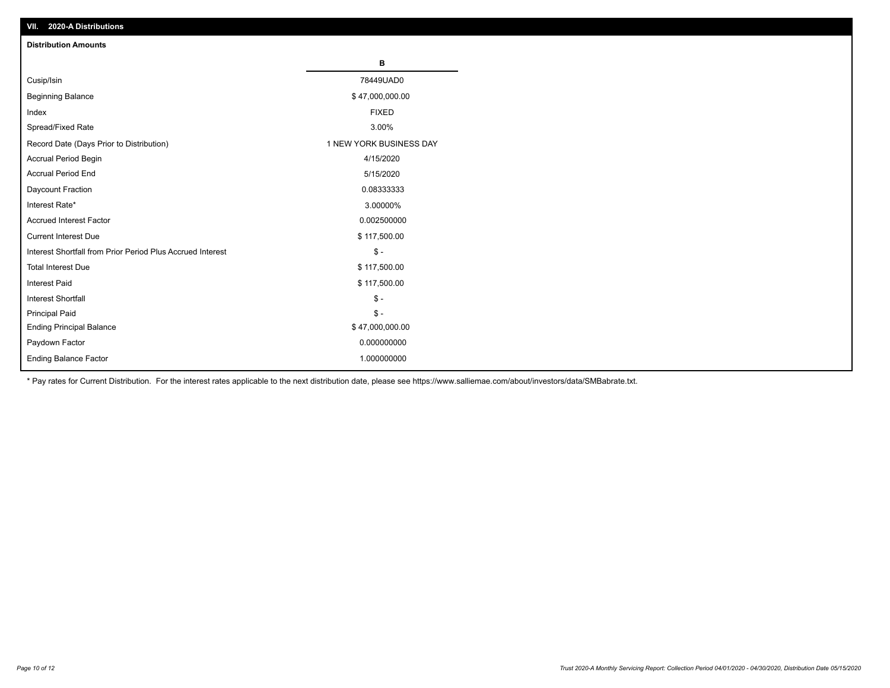| VII. 2020-A Distributions                                  |                         |
|------------------------------------------------------------|-------------------------|
| <b>Distribution Amounts</b>                                |                         |
|                                                            | В                       |
| Cusip/Isin                                                 | 78449UAD0               |
| <b>Beginning Balance</b>                                   | \$47,000,000.00         |
| Index                                                      | <b>FIXED</b>            |
| Spread/Fixed Rate                                          | 3.00%                   |
| Record Date (Days Prior to Distribution)                   | 1 NEW YORK BUSINESS DAY |
| Accrual Period Begin                                       | 4/15/2020               |
| <b>Accrual Period End</b>                                  | 5/15/2020               |
| Daycount Fraction                                          | 0.08333333              |
| Interest Rate*                                             | 3.00000%                |
| <b>Accrued Interest Factor</b>                             | 0.002500000             |
| <b>Current Interest Due</b>                                | \$117,500.00            |
| Interest Shortfall from Prior Period Plus Accrued Interest | $\mathsf{\$}$ -         |
| <b>Total Interest Due</b>                                  | \$117,500.00            |
| <b>Interest Paid</b>                                       | \$117,500.00            |
| Interest Shortfall                                         | $\mathbb{S}$ -          |
| <b>Principal Paid</b>                                      | $\frac{1}{2}$           |
| <b>Ending Principal Balance</b>                            | \$47,000,000.00         |
| Paydown Factor                                             | 0.000000000             |
| <b>Ending Balance Factor</b>                               | 1.000000000             |

\* Pay rates for Current Distribution. For the interest rates applicable to the next distribution date, please see https://www.salliemae.com/about/investors/data/SMBabrate.txt.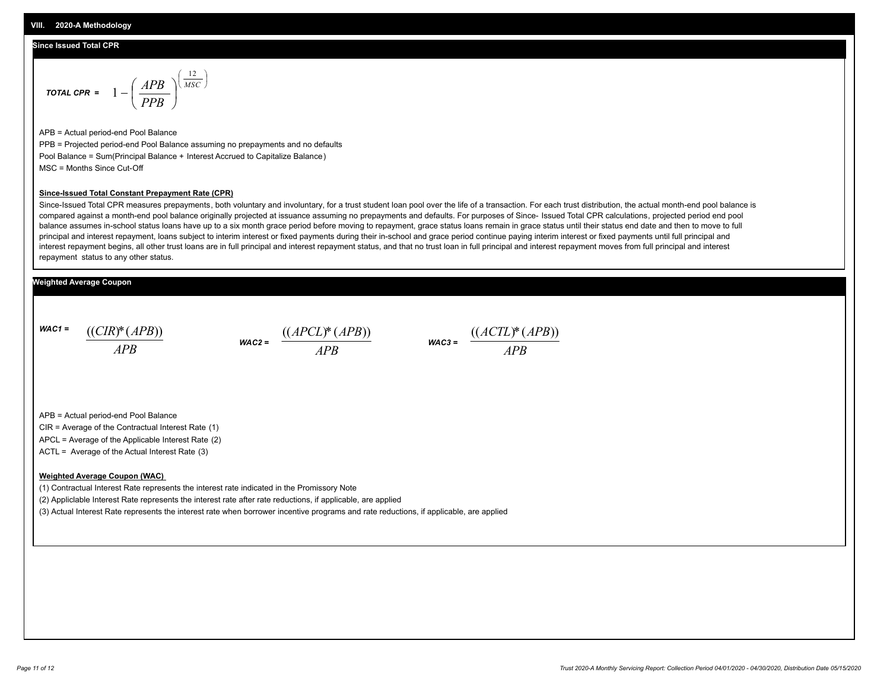## **Since Issued Total CPR**

$$
\text{total CPR} = 1 - \left(\frac{APB}{PPB}\right)^{\left(\frac{12}{MSC}\right)}
$$

APB = Actual period-end Pool Balance PPB = Projected period-end Pool Balance assuming no prepayments and no defaults Pool Balance = Sum(Principal Balance + Interest Accrued to Capitalize Balance) MSC = Months Since Cut-Off

#### **Since-Issued Total Constant Prepayment Rate (CPR)**

Since-Issued Total CPR measures prepayments, both voluntary and involuntary, for a trust student loan pool over the life of a transaction. For each trust distribution, the actual month-end pool balance is compared against a month-end pool balance originally projected at issuance assuming no prepayments and defaults. For purposes of Since- Issued Total CPR calculations, projected period end pool balance assumes in-school status loans have up to a six month grace period before moving to repayment, grace status loans remain in grace status until their status end date and then to move to full principal and interest repayment, loans subject to interim interest or fixed payments during their in-school and grace period continue paying interim interest or fixed payments until full principal and interest repayment begins, all other trust loans are in full principal and interest repayment status, and that no trust loan in full principal and interest repayment moves from full principal and interest repayment status to any other status.

## **Weighted Average Coupon**

*WAC1 = APB* ((*CIR*)\*(*APB*))

*WAC2 = APB*  $\frac{((APCL)^{*}(APB))}{APB}$  wac<sub>3</sub> =  $\frac{((ACTL)^{*}(A)P}{APB}$ 



APB = Actual period-end Pool Balance

CIR = Average of the Contractual Interest Rate (1)

APCL = Average of the Applicable Interest Rate (2)

ACTL = Average of the Actual Interest Rate (3)

### **Weighted Average Coupon (WAC)**

(1) Contractual Interest Rate represents the interest rate indicated in the Promissory Note

(2) Appliclable Interest Rate represents the interest rate after rate reductions, if applicable, are applied

(3) Actual Interest Rate represents the interest rate when borrower incentive programs and rate reductions, if applicable, are applied